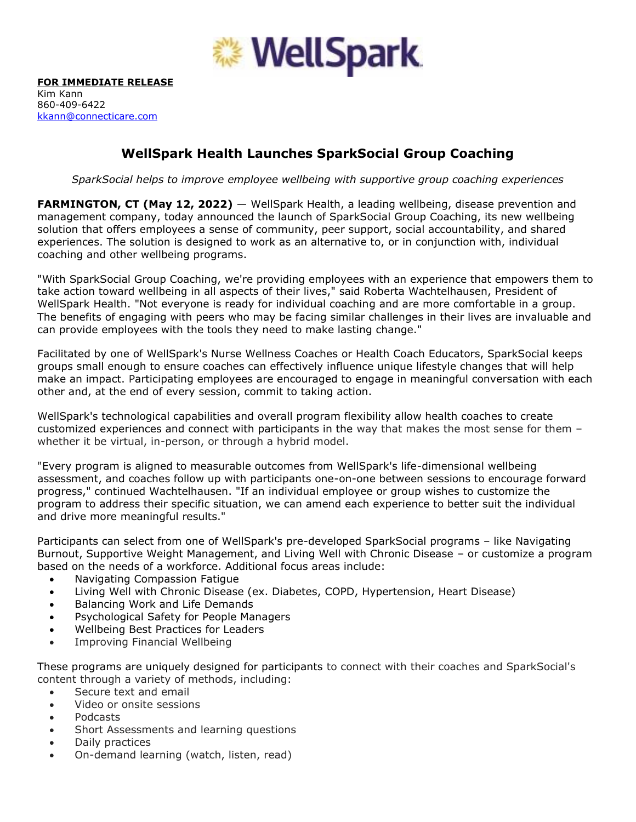

## **WellSpark Health Launches SparkSocial Group Coaching**

*SparkSocial helps to improve employee wellbeing with supportive group coaching experiences* 

**FARMINGTON, CT (May 12, 2022)** — WellSpark Health, a leading wellbeing, disease prevention and management company, today announced the launch of SparkSocial Group Coaching, its new wellbeing solution that offers employees a sense of community, peer support, social accountability, and shared experiences. The solution is designed to work as an alternative to, or in conjunction with, individual coaching and other wellbeing programs.

"With SparkSocial Group Coaching, we're providing employees with an experience that empowers them to take action toward wellbeing in all aspects of their lives," said Roberta Wachtelhausen, President of WellSpark Health. "Not everyone is ready for individual coaching and are more comfortable in a group. The benefits of engaging with peers who may be facing similar challenges in their lives are invaluable and can provide employees with the tools they need to make lasting change."

Facilitated by one of WellSpark's Nurse Wellness Coaches or Health Coach Educators, SparkSocial keeps groups small enough to ensure coaches can effectively influence unique lifestyle changes that will help make an impact. Participating employees are encouraged to engage in meaningful conversation with each other and, at the end of every session, commit to taking action.

WellSpark's technological capabilities and overall program flexibility allow health coaches to create customized experiences and connect with participants in the way that makes the most sense for them – whether it be virtual, in-person, or through a hybrid model.

"Every program is aligned to measurable outcomes from WellSpark's life-dimensional wellbeing assessment, and coaches follow up with participants one-on-one between sessions to encourage forward progress," continued Wachtelhausen. "If an individual employee or group wishes to customize the program to address their specific situation, we can amend each experience to better suit the individual and drive more meaningful results."

Participants can select from one of WellSpark's pre-developed SparkSocial programs – like Navigating Burnout, Supportive Weight Management, and Living Well with Chronic Disease – or customize a program based on the needs of a workforce. Additional focus areas include:

- Navigating Compassion Fatigue
- Living Well with Chronic Disease (ex. Diabetes, COPD, Hypertension, Heart Disease)
- Balancing Work and Life Demands
- Psychological Safety for People Managers
- Wellbeing Best Practices for Leaders
- Improving Financial Wellbeing

These programs are uniquely designed for participants to connect with their coaches and SparkSocial's content through a variety of methods, including:

- Secure text and email
- Video or onsite sessions
- Podcasts
- Short Assessments and learning questions
- Daily practices
- On-demand learning (watch, listen, read)